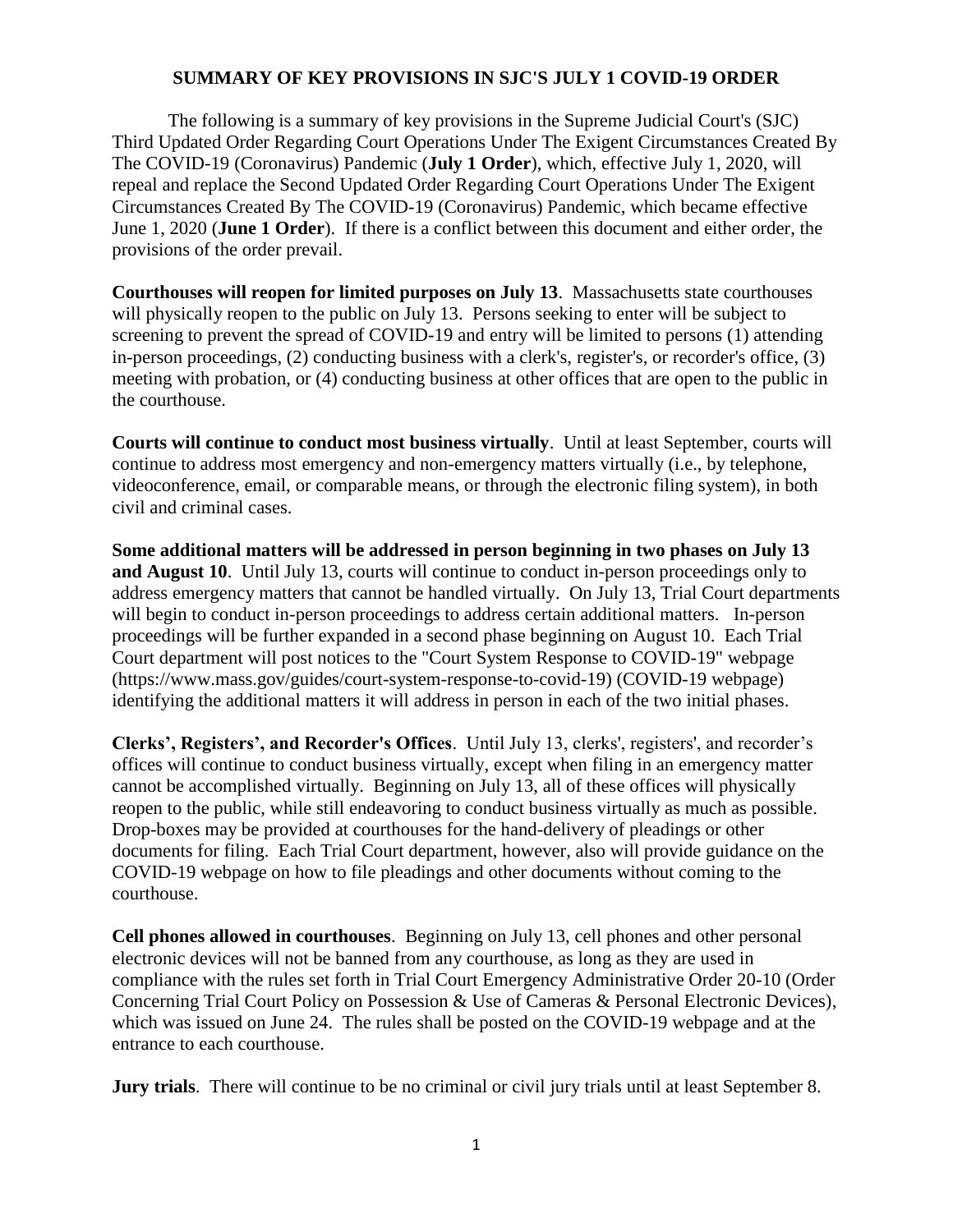## **SUMMARY OF KEY PROVISIONS IN SJC'S JULY 1 COVID-19 ORDER**

The following is a summary of key provisions in the Supreme Judicial Court's (SJC) Third Updated Order Regarding Court Operations Under The Exigent Circumstances Created By The COVID-19 (Coronavirus) Pandemic (**July 1 Order**), which, effective July 1, 2020, will repeal and replace the Second Updated Order Regarding Court Operations Under The Exigent Circumstances Created By The COVID-19 (Coronavirus) Pandemic, which became effective June 1, 2020 (**June 1 Order**). If there is a conflict between this document and either order, the provisions of the order prevail.

**Courthouses will reopen for limited purposes on July 13**. Massachusetts state courthouses will physically reopen to the public on July 13. Persons seeking to enter will be subject to screening to prevent the spread of COVID-19 and entry will be limited to persons (1) attending in-person proceedings, (2) conducting business with a clerk's, register's, or recorder's office, (3) meeting with probation, or (4) conducting business at other offices that are open to the public in the courthouse.

**Courts will continue to conduct most business virtually**. Until at least September, courts will continue to address most emergency and non-emergency matters virtually (i.e., by telephone, videoconference, email, or comparable means, or through the electronic filing system), in both civil and criminal cases.

**Some additional matters will be addressed in person beginning in two phases on July 13 and August 10**. Until July 13, courts will continue to conduct in-person proceedings only to address emergency matters that cannot be handled virtually. On July 13, Trial Court departments will begin to conduct in-person proceedings to address certain additional matters. In-person proceedings will be further expanded in a second phase beginning on August 10. Each Trial Court department will post notices to the "Court System Response to COVID-19" webpage (https://www.mass.gov/guides/court-system-response-to-covid-19) (COVID-19 webpage) identifying the additional matters it will address in person in each of the two initial phases.

**Clerks', Registers', and Recorder's Offices**. Until July 13, clerks', registers', and recorder's offices will continue to conduct business virtually, except when filing in an emergency matter cannot be accomplished virtually. Beginning on July 13, all of these offices will physically reopen to the public, while still endeavoring to conduct business virtually as much as possible. Drop-boxes may be provided at courthouses for the hand-delivery of pleadings or other documents for filing. Each Trial Court department, however, also will provide guidance on the COVID-19 webpage on how to file pleadings and other documents without coming to the courthouse.

**Cell phones allowed in courthouses**. Beginning on July 13, cell phones and other personal electronic devices will not be banned from any courthouse, as long as they are used in compliance with the rules set forth in Trial Court Emergency Administrative Order 20-10 (Order Concerning Trial Court Policy on Possession & Use of Cameras & Personal Electronic Devices), which was issued on June 24. The rules shall be posted on the COVID-19 webpage and at the entrance to each courthouse.

**Jury trials**. There will continue to be no criminal or civil jury trials until at least September 8.